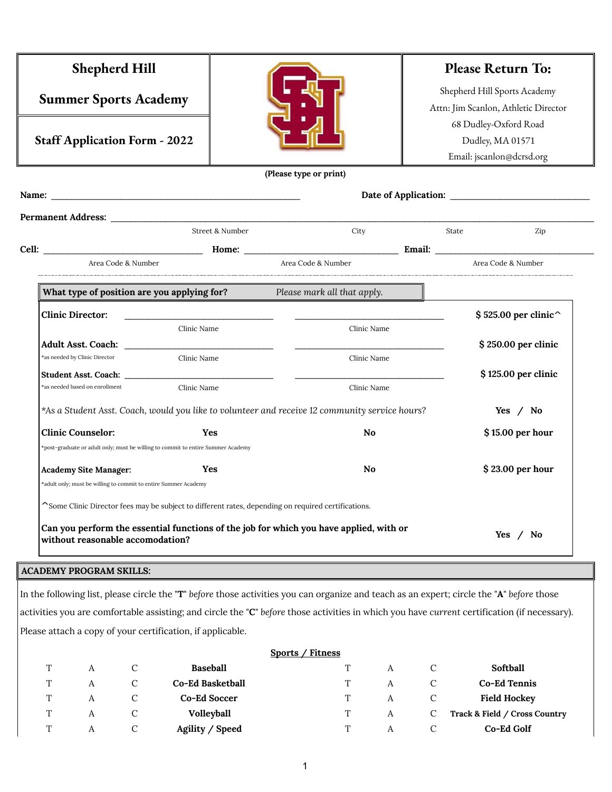| <b>Shepherd Hill</b>                                                             |                                                                                 |                                                                                                                                           |       | <b>Please Return To:</b>                                             |  |  |
|----------------------------------------------------------------------------------|---------------------------------------------------------------------------------|-------------------------------------------------------------------------------------------------------------------------------------------|-------|----------------------------------------------------------------------|--|--|
| <b>Summer Sports Academy</b>                                                     |                                                                                 |                                                                                                                                           |       | Shepherd Hill Sports Academy<br>Attn: Jim Scanlon, Athletic Director |  |  |
|                                                                                  |                                                                                 |                                                                                                                                           |       |                                                                      |  |  |
|                                                                                  |                                                                                 |                                                                                                                                           |       | 68 Dudley-Oxford Road                                                |  |  |
| <b>Staff Application Form - 2022</b>                                             |                                                                                 |                                                                                                                                           |       | Dudley, MA 01571                                                     |  |  |
|                                                                                  |                                                                                 |                                                                                                                                           |       | Email: jscanlon@dcrsd.org                                            |  |  |
|                                                                                  |                                                                                 | (Please type or print)                                                                                                                    |       |                                                                      |  |  |
|                                                                                  |                                                                                 |                                                                                                                                           |       |                                                                      |  |  |
|                                                                                  |                                                                                 |                                                                                                                                           |       |                                                                      |  |  |
|                                                                                  | Street & Number                                                                 | City                                                                                                                                      | State | Zip                                                                  |  |  |
|                                                                                  |                                                                                 |                                                                                                                                           |       |                                                                      |  |  |
| Area Code & Number                                                               |                                                                                 | Area Code & Number                                                                                                                        |       | Area Code & Number                                                   |  |  |
|                                                                                  |                                                                                 |                                                                                                                                           |       |                                                                      |  |  |
|                                                                                  |                                                                                 | What type of position are you applying for? Please mark all that apply.                                                                   |       |                                                                      |  |  |
| <b>Clinic Director:</b>                                                          | the contract of the contract of the contract of the contract of the contract of |                                                                                                                                           |       | $$ 525.00$ per clinic <sup><math>\sim</math></sup>                   |  |  |
|                                                                                  | Clinic Name                                                                     | Clinic Name                                                                                                                               |       |                                                                      |  |  |
|                                                                                  |                                                                                 | <u> 2000 - Jan James James Jan James James James James James James James James James James James James James Jam</u>                      |       | \$250.00 per clinic                                                  |  |  |
| *as needed by Clinic Director                                                    | Clinic Name                                                                     | Clinic Name                                                                                                                               |       |                                                                      |  |  |
|                                                                                  |                                                                                 |                                                                                                                                           |       | \$125.00 per clinic                                                  |  |  |
| *as needed based on enrollment                                                   | Clinic Name                                                                     | Clinic Name                                                                                                                               |       |                                                                      |  |  |
|                                                                                  |                                                                                 | *As a Student Asst. Coach, would you like to volunteer and receive 12 community service hours?                                            |       | Yes $\prime$ No                                                      |  |  |
| <b>Clinic Counselor:</b>                                                         | Yes                                                                             |                                                                                                                                           |       | \$15.00 per hour                                                     |  |  |
| *post-graduate or adult only; must be willing to commit to entire Summer Academy |                                                                                 |                                                                                                                                           |       |                                                                      |  |  |
| Academy Site Manager:                                                            | Yes                                                                             | No                                                                                                                                        |       | $$23.00$ per hour                                                    |  |  |
| *adult only; must be willing to commit to entire Summer Academy                  |                                                                                 |                                                                                                                                           |       |                                                                      |  |  |
|                                                                                  |                                                                                 | ~Some Clinic Director fees may be subject to different rates, depending on required certifications.                                       |       |                                                                      |  |  |
|                                                                                  |                                                                                 |                                                                                                                                           |       |                                                                      |  |  |
| without reasonable accomodation?                                                 |                                                                                 | Can you perform the essential functions of the job for which you have applied, with or                                                    |       | Yes $/$ No                                                           |  |  |
|                                                                                  |                                                                                 |                                                                                                                                           |       |                                                                      |  |  |
| <b>ACADEMY PROGRAM SKILLS:</b>                                                   |                                                                                 |                                                                                                                                           |       |                                                                      |  |  |
|                                                                                  |                                                                                 | In the following list, please circle the "T" before those activities you can organize and teach as an expert; circle the "A" before those |       |                                                                      |  |  |

activities you are comfortable assisting; and circle the "**C**" *before* those activities in which you have *current* certification (if necessary).

Please attach a copy of your certification, if applicable.

|   |   |               |                   | <b>Sports / Fitness</b> |   |                               |
|---|---|---------------|-------------------|-------------------------|---|-------------------------------|
| T | А |               | <b>Baseball</b>   |                         | А | Softball                      |
| Τ | А |               | Co-Ed Basketball  | T                       | А | Co-Ed Tennis                  |
| T | А |               | Co-Ed Soccer      |                         | А | <b>Field Hockey</b>           |
| T | А | $\mathcal{C}$ | <b>Volleyball</b> |                         | A | Track & Field / Cross Country |
| ጥ | А | C             | Agility / Speed   |                         | A | Co-Ed Golf                    |